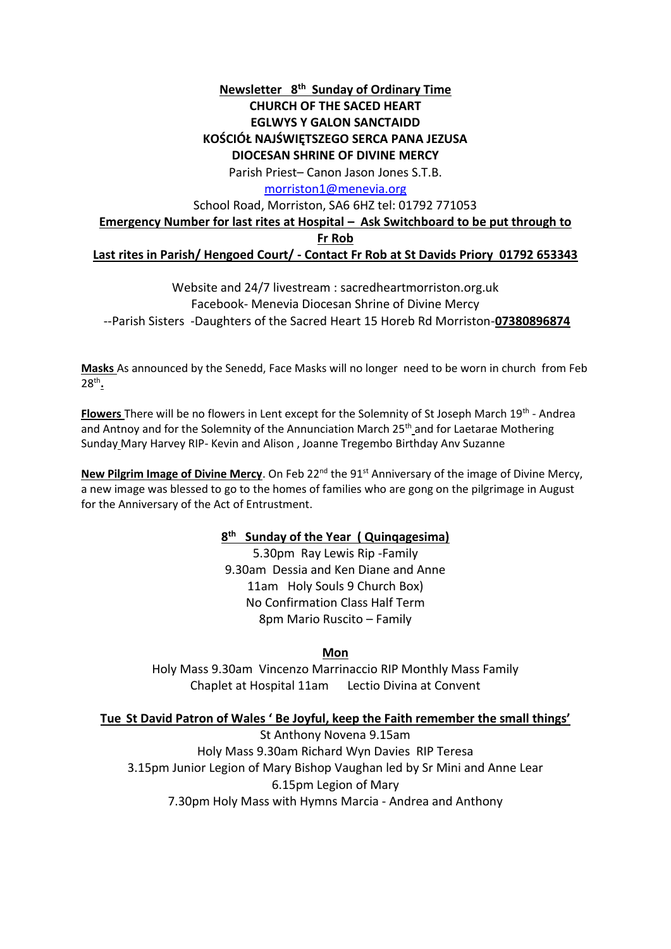## **Newsletter 8 th Sunday of Ordinary Time CHURCH OF THE SACED HEART EGLWYS Y GALON SANCTAIDD KOŚCIÓŁ NAJŚWIĘTSZEGO SERCA PANA JEZUSA DIOCESAN SHRINE OF DIVINE MERCY**

Parish Priest– Canon Jason Jones S.T.B.

[morriston1@menevia.org](mailto:morriston1@menevia.org)

School Road, Morriston, SA6 6HZ tel: 01792 771053

# **Emergency Number for last rites at Hospital – Ask Switchboard to be put through to Fr Rob**

## **Last rites in Parish/ Hengoed Court/ - Contact Fr Rob at St Davids Priory 01792 653343**

### Website and 24/7 livestream : sacredheartmorriston.org.uk Facebook- Menevia Diocesan Shrine of Divine Mercy --Parish Sisters -Daughters of the Sacred Heart 15 Horeb Rd Morriston-**07380896874**

**Masks** As announced by the Senedd, Face Masks will no longer need to be worn in church from Feb 28th **.**

**Flowers** There will be no flowers in Lent except for the Solemnity of St Joseph March 19<sup>th</sup> - Andrea and Antnoy and for the Solemnity of the Annunciation March 25<sup>th</sup> and for Laetarae Mothering Sunday Mary Harvey RIP- Kevin and Alison , Joanne Tregembo Birthday Anv Suzanne

New Pilgrim Image of Divine Mercy. On Feb 22<sup>nd</sup> the 91<sup>st</sup> Anniversary of the image of Divine Mercy, a new image was blessed to go to the homes of families who are gong on the pilgrimage in August for the Anniversary of the Act of Entrustment.

### **8 th Sunday of the Year ( Quinqagesima)**

5.30pm Ray Lewis Rip -Family 9.30am Dessia and Ken Diane and Anne 11am Holy Souls 9 Church Box) No Confirmation Class Half Term 8pm Mario Ruscito – Family

### **Mon**

Holy Mass 9.30am Vincenzo Marrinaccio RIP Monthly Mass Family Chaplet at Hospital 11am Lectio Divina at Convent

#### **Tue St David Patron of Wales ' Be Joyful, keep the Faith remember the small things'**

St Anthony Novena 9.15am Holy Mass 9.30am Richard Wyn Davies RIP Teresa 3.15pm Junior Legion of Mary Bishop Vaughan led by Sr Mini and Anne Lear 6.15pm Legion of Mary 7.30pm Holy Mass with Hymns Marcia - Andrea and Anthony